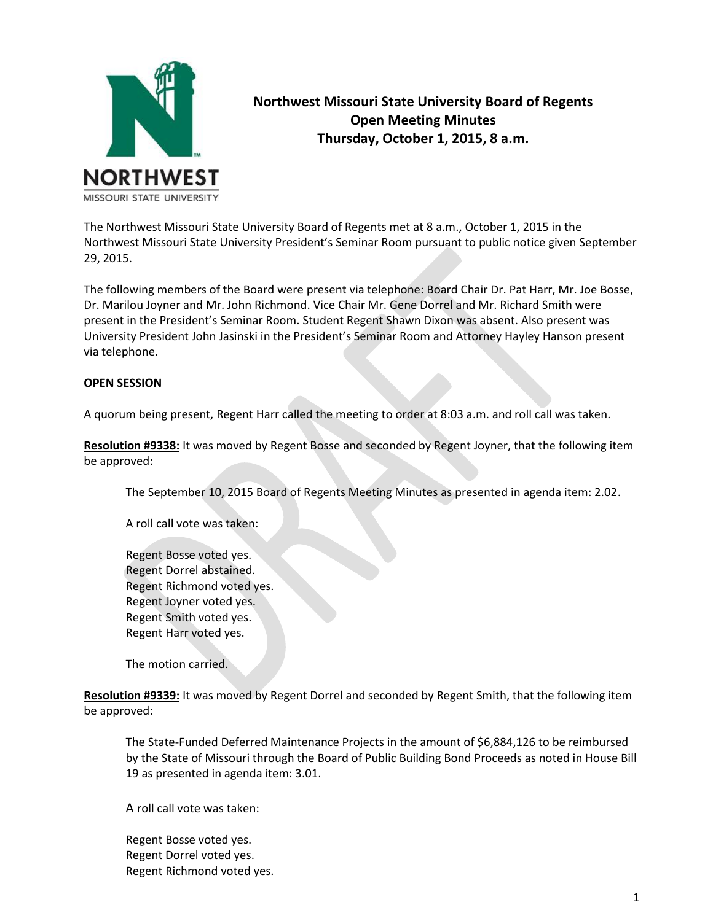

## **Northwest Missouri State University Board of Regents Open Meeting Minutes Thursday, October 1, 2015, 8 a.m.**

The Northwest Missouri State University Board of Regents met at 8 a.m., October 1, 2015 in the Northwest Missouri State University President's Seminar Room pursuant to public notice given September 29, 2015.

The following members of the Board were present via telephone: Board Chair Dr. Pat Harr, Mr. Joe Bosse, Dr. Marilou Joyner and Mr. John Richmond. Vice Chair Mr. Gene Dorrel and Mr. Richard Smith were present in the President's Seminar Room. Student Regent Shawn Dixon was absent. Also present was University President John Jasinski in the President's Seminar Room and Attorney Hayley Hanson present via telephone.

## **OPEN SESSION**

A quorum being present, Regent Harr called the meeting to order at 8:03 a.m. and roll call was taken.

**Resolution #9338:** It was moved by Regent Bosse and seconded by Regent Joyner, that the following item be approved:

The September 10, 2015 Board of Regents Meeting Minutes as presented in agenda item: 2.02.

A roll call vote was taken:

Regent Bosse voted yes. Regent Dorrel abstained. Regent Richmond voted yes. Regent Joyner voted yes. Regent Smith voted yes. Regent Harr voted yes.

The motion carried.

**Resolution #9339:** It was moved by Regent Dorrel and seconded by Regent Smith, that the following item be approved:

The State-Funded Deferred Maintenance Projects in the amount of \$6,884,126 to be reimbursed by the State of Missouri through the Board of Public Building Bond Proceeds as noted in House Bill 19 as presented in agenda item: 3.01.

A roll call vote was taken:

Regent Bosse voted yes. Regent Dorrel voted yes. Regent Richmond voted yes.